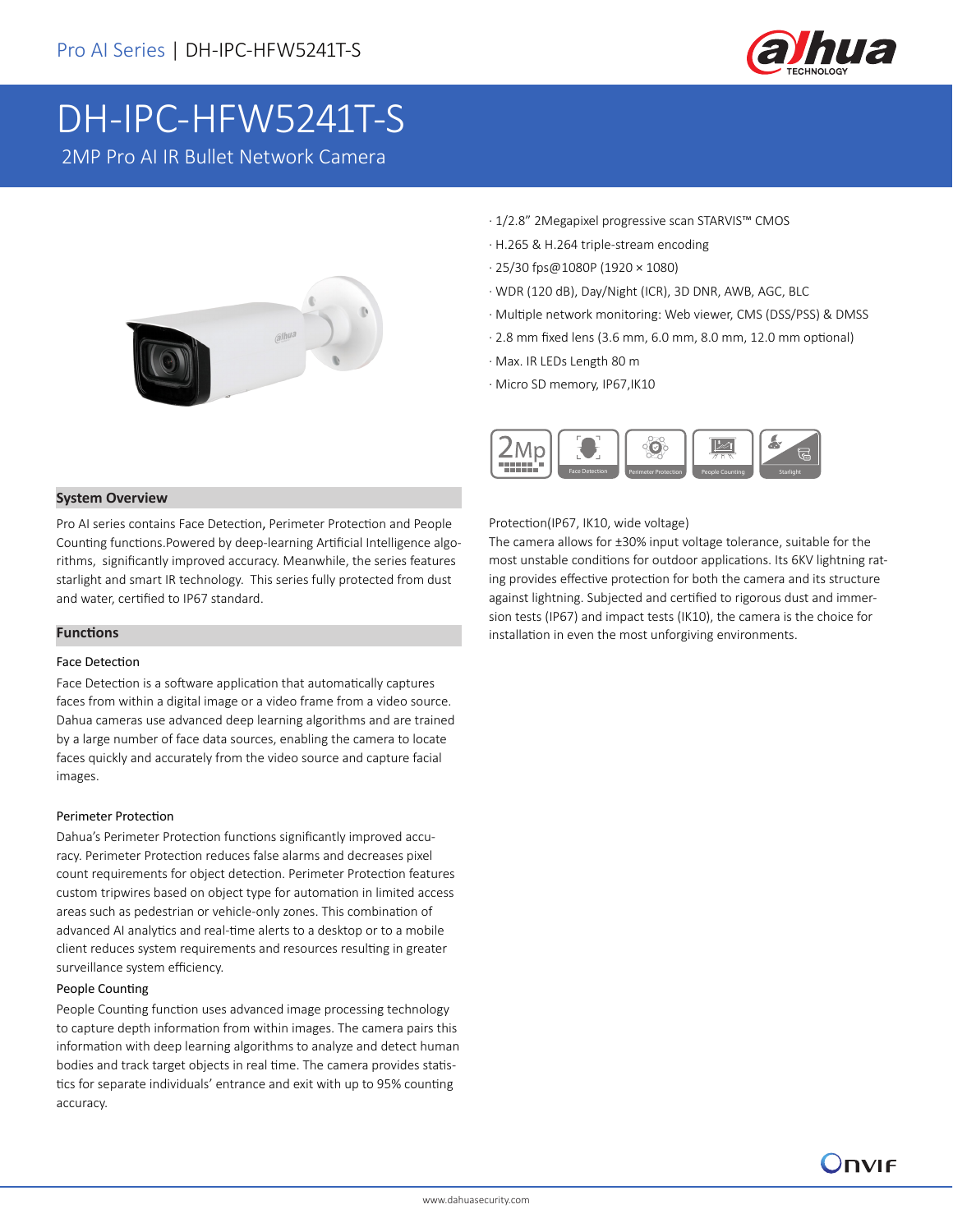

# DH-IPC-HFW5241T-S

2MP Pro AI IR Bullet Network Camera



- · 1/2.8" 2Megapixel progressive scan STARVIS™ CMOS
- · H.265 & H.264 triple-stream encoding
- · 25/30 fps@1080P (1920 × 1080)
- · WDR (120 dB), Day/Night (ICR), 3D DNR, AWB, AGC, BLC
- · Multiple network monitoring: Web viewer, CMS (DSS/PSS) & DMSS
- · 2.8 mm fixed lens (3.6 mm, 6.0 mm, 8.0 mm, 12.0 mm optional)
- · Max. IR LEDs Length 80 m
- · Micro SD memory, IP67,IK10



### **System Overview**

Pro AI series contains Face Detection, Perimeter Protection and People Counting functions.Powered by deep-learning Artificial Intelligence algorithms, significantly improved accuracy. Meanwhile, the series features starlight and smart IR technology. This series fully protected from dust and water, certified to IP67 standard.

#### **Functions**

#### Face Detection

Face Detection is a software application that automatically captures faces from within a digital image or a video frame from a video source. Dahua cameras use advanced deep learning algorithms and are trained by a large number of face data sources, enabling the camera to locate faces quickly and accurately from the video source and capture facial images.

#### Perimeter Protection

Dahua's Perimeter Protection functions significantly improved accuracy. Perimeter Protection reduces false alarms and decreases pixel count requirements for object detection. Perimeter Protection features custom tripwires based on object type for automation in limited access areas such as pedestrian or vehicle-only zones. This combination of advanced AI analytics and real-time alerts to a desktop or to a mobile client reduces system requirements and resources resulting in greater surveillance system efficiency.

#### People Counting

People Counting function uses advanced image processing technology to capture depth information from within images. The camera pairs this information with deep learning algorithms to analyze and detect human bodies and track target objects in real time. The camera provides statistics for separate individuals' entrance and exit with up to 95% counting accuracy.

### Protection(IP67, IK10, wide voltage)

The camera allows for ±30% input voltage tolerance, suitable for the most unstable conditions for outdoor applications. Its 6KV lightning rating provides effective protection for both the camera and its structure against lightning. Subjected and certified to rigorous dust and immersion tests (IP67) and impact tests (IK10), the camera is the choice for installation in even the most unforgiving environments.

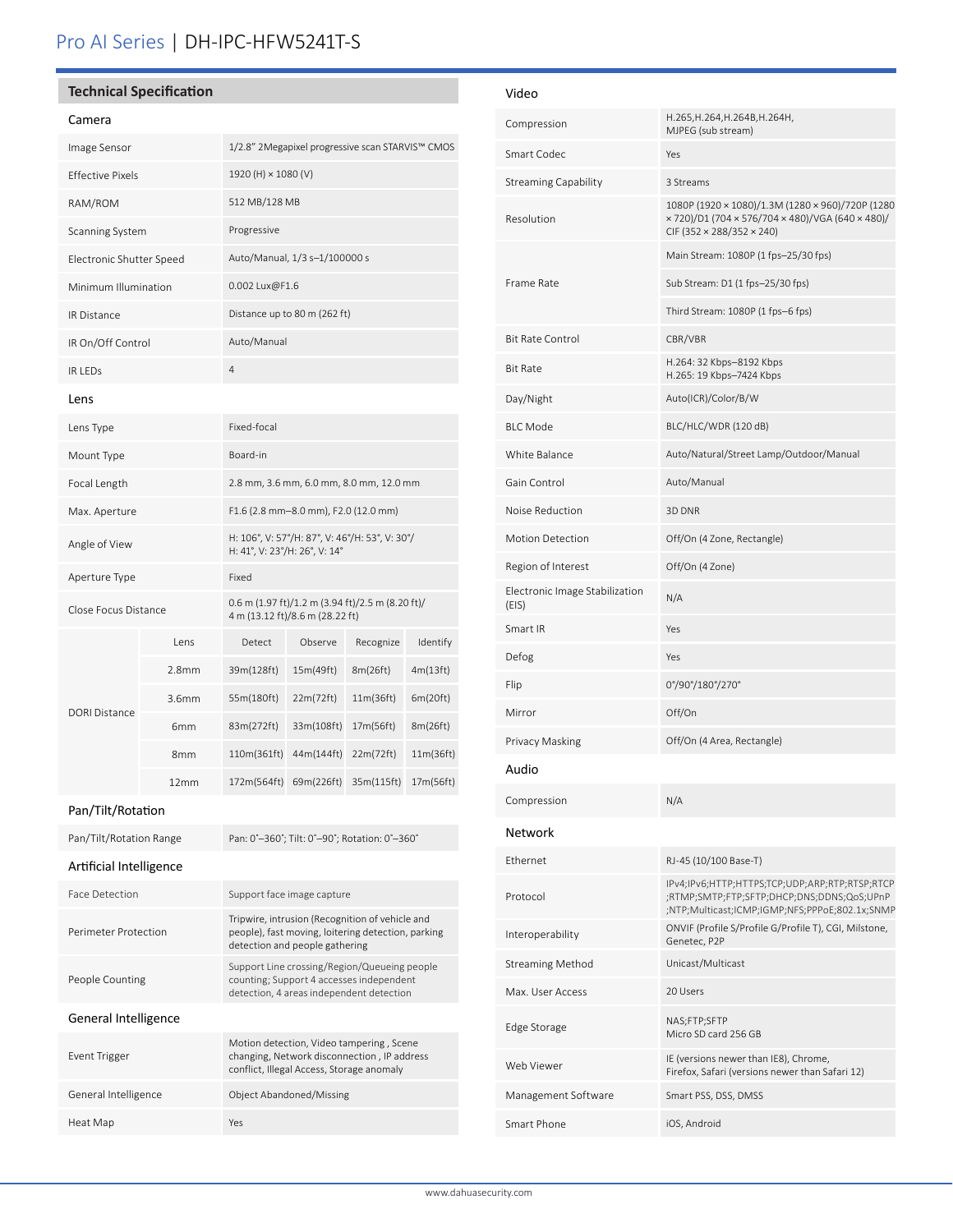# Pro AI Series | DH-IPC-HFW5241T-S

# **Technical Specification**

#### Camera

| Camera                   |                   |                                                                                                                                         |            |            |           |
|--------------------------|-------------------|-----------------------------------------------------------------------------------------------------------------------------------------|------------|------------|-----------|
| Image Sensor             |                   | 1/2.8" 2Megapixel progressive scan STARVIS™ CMOS                                                                                        |            |            |           |
| Effective Pixels         |                   | 1920 (H) $\times$ 1080 (V)                                                                                                              |            |            |           |
| RAM/ROM                  |                   | 512 MB/128 MB                                                                                                                           |            |            |           |
| Scanning System          |                   | Progressive                                                                                                                             |            |            |           |
| Electronic Shutter Speed |                   | Auto/Manual, 1/3 s-1/100000 s                                                                                                           |            |            |           |
| Minimum Illumination     |                   | 0.002 Lux@F1.6                                                                                                                          |            |            |           |
| <b>IR Distance</b>       |                   | Distance up to 80 m (262 ft)                                                                                                            |            |            |           |
| IR On/Off Control        |                   | Auto/Manual                                                                                                                             |            |            |           |
| IR LEDS                  |                   | $\overline{4}$                                                                                                                          |            |            |           |
| Lens                     |                   |                                                                                                                                         |            |            |           |
| Lens Type                |                   | Fixed-focal                                                                                                                             |            |            |           |
| Mount Type               |                   | Board-in                                                                                                                                |            |            |           |
| Focal Length             |                   | 2.8 mm, 3.6 mm, 6.0 mm, 8.0 mm, 12.0 mm                                                                                                 |            |            |           |
| Max. Aperture            |                   | F1.6 (2.8 mm-8.0 mm), F2.0 (12.0 mm)                                                                                                    |            |            |           |
| Angle of View            |                   | H: 106°, V: 57°/H: 87°, V: 46°/H: 53°, V: 30°/<br>H: 41°, V: 23°/H: 26°, V: 14°                                                         |            |            |           |
| Aperture Type            |                   | Fixed                                                                                                                                   |            |            |           |
| Close Focus Distance     |                   | $0.6$ m (1.97 ft)/1.2 m (3.94 ft)/2.5 m (8.20 ft)/<br>4 m (13.12 ft)/8.6 m (28.22 ft)                                                   |            |            |           |
|                          | Lens              | Detect                                                                                                                                  | Observe    | Recognize  | Identify  |
|                          | 2.8mm             | 39m(128ft)                                                                                                                              | 15m(49ft)  | 8m(26ft)   | 4m(13ft)  |
| <b>DORI Distance</b>     | 3.6 <sub>mm</sub> | 55m(180ft)                                                                                                                              | 22m(72ft)  | 11m(36ft)  | 6m(20ft)  |
|                          | 6mm               | 83m(272ft)                                                                                                                              | 33m(108ft) | 17m(56ft)  | 8m(26ft)  |
|                          | 8mm               | 110m(361ft)                                                                                                                             | 44m(144ft) | 22m(72ft)  | 11m(36ft) |
|                          | 12mm              | 172m(564ft)                                                                                                                             | 69m(226ft) | 35m(115ft) | 17m(56ft) |
| Pan/Tilt/Rotation        |                   |                                                                                                                                         |            |            |           |
| Pan/Tilt/Rotation Range  |                   | Pan: 0°-360°; Tilt: 0°-90°; Rotation: 0°-360°                                                                                           |            |            |           |
| Artificial Intelligence  |                   |                                                                                                                                         |            |            |           |
| Face Detection           |                   | Support face image capture                                                                                                              |            |            |           |
| Perimeter Protection     |                   | Tripwire, intrusion (Recognition of vehicle and<br>people), fast moving, loitering detection, parking<br>detection and people gathering |            |            |           |
| People Counting          |                   | Support Line crossing/Region/Queueing people<br>counting; Support 4 accesses independent<br>detection, 4 areas independent detection    |            |            |           |
| General Intelligence     |                   |                                                                                                                                         |            |            |           |
| Event Trigger            |                   | Motion detection, Video tampering, Scene<br>changing, Network disconnection, IP address<br>conflict, Illegal Access, Storage anomaly    |            |            |           |
| General Intelligence     |                   | Object Abandoned/Missing                                                                                                                |            |            |           |
| Heat Map                 |                   | Yes                                                                                                                                     |            |            |           |

| Video                                   |                                                                                                                                                |  |  |
|-----------------------------------------|------------------------------------------------------------------------------------------------------------------------------------------------|--|--|
| Compression                             | H.265, H.264, H.264B, H.264H,<br>MJPEG (sub stream)                                                                                            |  |  |
| Smart Codec                             | Yes                                                                                                                                            |  |  |
| <b>Streaming Capability</b>             | 3 Streams                                                                                                                                      |  |  |
| Resolution                              | 1080P (1920 × 1080)/1.3M (1280 × 960)/720P (1280<br>× 720)/D1 (704 × 576/704 × 480)/VGA (640 × 480)/<br>CIF (352 × 288/352 × 240)              |  |  |
|                                         | Main Stream: 1080P (1 fps-25/30 fps)                                                                                                           |  |  |
| Frame Rate                              | Sub Stream: D1 (1 fps-25/30 fps)                                                                                                               |  |  |
|                                         | Third Stream: 1080P (1 fps-6 fps)                                                                                                              |  |  |
| <b>Bit Rate Control</b>                 | CBR/VBR                                                                                                                                        |  |  |
| <b>Bit Rate</b>                         | H.264: 32 Kbps-8192 Kbps<br>H.265: 19 Kbps-7424 Kbps                                                                                           |  |  |
| Day/Night                               | Auto(ICR)/Color/B/W                                                                                                                            |  |  |
| <b>BLC Mode</b>                         | BLC/HLC/WDR (120 dB)                                                                                                                           |  |  |
| White Balance                           | Auto/Natural/Street Lamp/Outdoor/Manual                                                                                                        |  |  |
| Gain Control                            | Auto/Manual                                                                                                                                    |  |  |
| Noise Reduction                         | 3D DNR                                                                                                                                         |  |  |
| <b>Motion Detection</b>                 | Off/On (4 Zone, Rectangle)                                                                                                                     |  |  |
| Region of Interest                      | Off/On (4 Zone)                                                                                                                                |  |  |
| Electronic Image Stabilization<br>(EIS) | N/A                                                                                                                                            |  |  |
| Smart IR                                | Yes                                                                                                                                            |  |  |
| Defog                                   | Yes                                                                                                                                            |  |  |
| Flip                                    | 0°/90°/180°/270°                                                                                                                               |  |  |
| Mirror                                  | Off/On                                                                                                                                         |  |  |
| Privacy Masking                         | Off/On (4 Area, Rectangle)                                                                                                                     |  |  |
| Audio                                   |                                                                                                                                                |  |  |
| Compression                             | N/A                                                                                                                                            |  |  |
| Network                                 |                                                                                                                                                |  |  |
| Ethernet                                | RJ-45 (10/100 Base-T)                                                                                                                          |  |  |
| Protocol                                | IPv4;IPv6;HTTP;HTTPS;TCP;UDP;ARP;RTP;RTSP;RTCP<br>;RTMP;SMTP;FTP;SFTP;DHCP;DNS;DDNS;QoS;UPnP<br>;NTP;Multicast;ICMP;IGMP;NFS;PPPoE;802.1x;SNMP |  |  |
| Interoperability                        | ONVIF (Profile S/Profile G/Profile T), CGI, Milstone,<br>Genetec, P2P                                                                          |  |  |
| <b>Streaming Method</b>                 | Unicast/Multicast                                                                                                                              |  |  |
| Max. User Access                        | 20 Users                                                                                                                                       |  |  |
| Edge Storage                            | NAS;FTP;SFTP<br>Micro SD card 256 GB                                                                                                           |  |  |
| Web Viewer                              | IE (versions newer than IE8), Chrome,<br>Firefox, Safari (versions newer than Safari 12)                                                       |  |  |
| Management Software                     | Smart PSS, DSS, DMSS                                                                                                                           |  |  |
| Smart Phone                             | iOS, Android                                                                                                                                   |  |  |